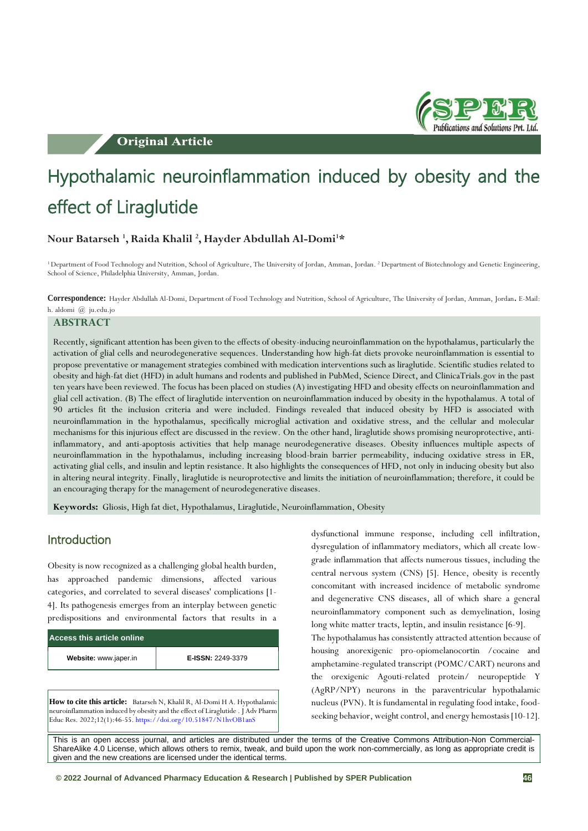**Original Article** 



# Hypothalamic neuroinflammation induced by obesity and the effect of Liraglutide

### **Nour Batarseh <sup>1</sup> , Raida Khalil <sup>2</sup> , Hayder Abdullah Al-Domi<sup>1</sup>\***

<sup>1</sup> Department of Food Technology and Nutrition, School of Agriculture, The University of Jordan, Amman, Jordan. <sup>2</sup> Department of Biotechnology and Genetic Engineering, School of Science, Philadelphia University, Amman, Jordan.

**Correspondence:** Hayder Abdullah Al-Domi, Department of Food Technology and Nutrition, School of Agriculture, The University of Jordan, Amman, Jordan . E-Mail: h. aldomi @ ju.edu.jo

#### **ABSTRACT**

Recently, significant attention has been given to the effects of obesity-inducing neuroinflammation on the hypothalamus, particularly the activation of glial cells and neurodegenerative sequences. Understanding how high-fat diets provoke neuroinflammation is essential to propose preventative or management strategies combined with medication interventions such as liraglutide. Scientific studies related to obesity and high-fat diet (HFD) in adult humans and rodents and published in PubMed, Science Direct, and ClinicaTrials.gov in the past ten years have been reviewed. The focus has been placed on studies (A) investigating HFD and obesity effects on neuroinflammation and glial cell activation. (B) The effect of liraglutide intervention on neuroinflammation induced by obesity in the hypothalamus. A total of 90 articles fit the inclusion criteria and were included. Findings revealed that induced obesity by HFD is associated with neuroinflammation in the hypothalamus, specifically microglial activation and oxidative stress, and the cellular and molecular mechanisms for this injurious effect are discussed in the review. On the other hand, liraglutide shows promising neuroprotective, antiinflammatory, and anti-apoptosis activities that help manage neurodegenerative diseases. Obesity influences multiple aspects of neuroinflammation in the hypothalamus, including increasing blood-brain barrier permeability, inducing oxidative stress in ER, activating glial cells, and insulin and leptin resistance. It also highlights the consequences of HFD, not only in inducing obesity but also in altering neural integrity. Finally, liraglutide is neuroprotective and limits the initiation of neuroinflammation; therefore, it could be an encouraging therapy for the management of neurodegenerative diseases.

**Keywords:** Gliosis, High fat diet, Hypothalamus, Liraglutide, Neuroinflammation, Obesity

### Introduction

Obesity is now recognized as a challenging global health burden, has approached pandemic dimensions, affected various categories, and correlated to several diseases' complications [1- 4]. Its pathogenesis emerges from an interplay between genetic predispositions and environmental factors that results in a

| Access this article online |                          |  |  |  |
|----------------------------|--------------------------|--|--|--|
| Website: www.japer.in      | <b>E-ISSN: 2249-3379</b> |  |  |  |

**How to cite this article:** Batarseh N, Khalil R, Al-Domi H A. Hypothalamic neuroinflammation induced by obesity and the effect of Liraglutide . J Adv Pharm Educ Res. 2022;12(1):46-55. <https://doi.org/10.51847/N1hvOB1anS>

dysfunctional immune response, including cell infiltration, dysregulation of inflammatory mediators, which all create lowgrade inflammation that affects numerous tissues, including the central nervous system (CNS) [5]. Hence, obesity is recently concomitant with increased incidence of metabolic syndrome and degenerative CNS diseases, all of which share a general neuroinflammatory component such as demyelination, losing long white matter tracts, leptin, and insulin resistance [6-9].

The hypothalamus has consistently attracted attention because of housing anorexigenic pro-opiomelanocortin /cocaine and amphetamine-regulated transcript (POMC/CART) neurons and the orexigenic Agouti-related protein/ neuropeptide Y (AgRP/NPY) neurons in the paraventricular hypothalamic nucleus (PVN). It is fundamental in regulating food intake, foodseeking behavior, weight control, and energy hemostasis [10-12].

This is an open access journal, and articles are distributed under the terms of the Creative Commons Attribution-Non Commercial-ShareAlike 4.0 License, which allows others to remix, tweak, and build upon the work non-commercially, as long as appropriate credit is given and the new creations are licensed under the identical terms.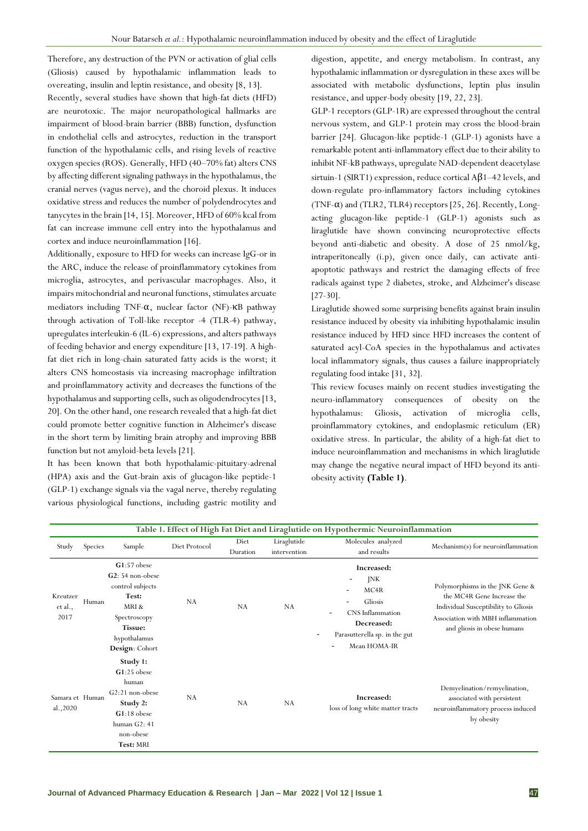Therefore, any destruction of the PVN or activation of glial cells (Gliosis) caused by hypothalamic inflammation leads to overeating, insulin and leptin resistance, and obesity [8, 13]. Recently, several studies have shown that high-fat diets (HFD) are neurotoxic. The major neuropathological hallmarks are impairment of blood-brain barrier (BBB) function, dysfunction in endothelial cells and astrocytes, reduction in the transport function of the hypothalamic cells, and rising levels of reactive oxygen species (ROS). Generally, HFD (40–70% fat) alters CNS by affecting different signaling pathways in the hypothalamus, the cranial nerves (vagus nerve), and the choroid plexus. It induces oxidative stress and reduces the number of polydendrocytes and tanycytes in the brain [14, 15]. Moreover, HFD of 60% kcal from fat can increase immune cell entry into the hypothalamus and cortex and induce neuroinflammation [16].

Additionally, exposure to HFD for weeks can increase IgG-or in the ARC, induce the release of proinflammatory cytokines from microglia, astrocytes, and perivascular macrophages. Also, it impairs mitochondrial and neuronal functions, stimulates arcuate mediators including TNF-α, nuclear factor (NF)-κB pathway through activation of Toll-like receptor -4 (TLR-4) pathway, upregulates interleukin-6 (IL-6) expressions, and alters pathways of feeding behavior and energy expenditure [13, 17-19]. A highfat diet rich in long-chain saturated fatty acids is the worst; it alters CNS homeostasis via increasing macrophage infiltration and proinflammatory activity and decreases the functions of the hypothalamus and supporting cells, such as oligodendrocytes [13, 20]. On the other hand, one research revealed that a high-fat diet could promote better cognitive function in Alzheimer's disease in the short term by limiting brain atrophy and improving BBB function but not amyloid-beta levels [21].

It has been known that both hypothalamic-pituitary-adrenal (HPA) axis and the Gut-brain axis of glucagon-like peptide-1 (GLP-1) exchange signals via the vagal nerve, thereby regulating various physiological functions, including gastric motility and

digestion, appetite, and energy metabolism. In contrast, any hypothalamic inflammation or dysregulation in these axes will be associated with metabolic dysfunctions, leptin plus insulin resistance, and upper-body obesity [19, 22, 23].

GLP-1 receptors (GLP-1R) are expressed throughout the central nervous system, and GLP-1 protein may cross the blood-brain barrier [24]. Glucagon-like peptide-1 (GLP-1) agonists have a remarkable potent anti-inflammatory effect due to their ability to inhibit NF-kB pathways, upregulate NAD-dependent deacetylase sirtuin-1 (SIRT1) expression, reduce cortical  $A\beta$ 1-42 levels, and down-regulate pro-inflammatory factors including cytokines (TNF- $\alpha$ ) and (TLR2, TLR4) receptors [25, 26]. Recently, Longacting glucagon-like peptide-1 (GLP-1) agonists such as liraglutide have shown convincing neuroprotective effects beyond anti-diabetic and obesity. A dose of 25 nmol/kg, intraperitoneally (i.p), given once daily, can activate antiapoptotic pathways and restrict the damaging effects of free radicals against type 2 diabetes, stroke, and Alzheimer's disease [27-30].

Liraglutide showed some surprising benefits against brain insulin resistance induced by obesity via inhibiting hypothalamic insulin resistance induced by HFD since HFD increases the content of saturated acyl-CoA species in the hypothalamus and activates local inflammatory signals, thus causes a failure inappropriately regulating food intake [31, 32].

This review focuses mainly on recent studies investigating the neuro-inflammatory consequences of obesity on the hypothalamus: Gliosis, activation of microglia cells, proinflammatory cytokines, and endoplasmic reticulum (ER) oxidative stress. In particular, the ability of a high-fat diet to induce neuroinflammation and mechanisms in which liraglutide may change the negative neural impact of HFD beyond its antiobesity activity **(Table 1)**.

|                             |         |                                                                                                                                             |               |                  |                             | Table 1. Effect of High Fat Diet and Liraglutide on Hypothermic Neuroinflammation                                                              |                                                                                                                                                                           |
|-----------------------------|---------|---------------------------------------------------------------------------------------------------------------------------------------------|---------------|------------------|-----------------------------|------------------------------------------------------------------------------------------------------------------------------------------------|---------------------------------------------------------------------------------------------------------------------------------------------------------------------------|
| Study                       | Species | Sample                                                                                                                                      | Diet Protocol | Diet<br>Duration | Liraglutide<br>intervention | Molecules analyzed<br>and results                                                                                                              | Mechanism(s) for neuroinflammation                                                                                                                                        |
| Kreutzer<br>et al.,<br>2017 | Human   | $G1:57$ obese<br>G2: 54 non-obese<br>control subjects<br>Test:<br>MRI &<br>Spectroscopy<br><b>Tissue:</b><br>hypothalamus<br>Design: Cohort | NA            | NA               | NA                          | Increased:<br>JNK<br>MC <sub>4</sub> R<br>۰<br>Gliosis<br>CNS Inflammation<br>Decreased:<br>Parasutterella sp. in the gut<br>Mean HOMA-IR<br>٠ | Polymorphisms in the JNK Gene &<br>the MC4R Gene Increase the<br>Individual Susceptibility to Gliosis<br>Association with MBH inflammation<br>and gliosis in obese humans |
| Samara et Human<br>al.,2020 |         | Study 1:<br>$G1:25$ obese<br>human<br>$G2:21$ non-obese<br>Study 2:<br>$G1:18$ obese<br>human G2: 41<br>non-obese<br>Test: MRI              | NA            | NA               | NA                          | Increased:<br>loss of long white matter tracts                                                                                                 | Demyelination/remyelination,<br>associated with persistent<br>neuroinflammatory process induced<br>by obesity                                                             |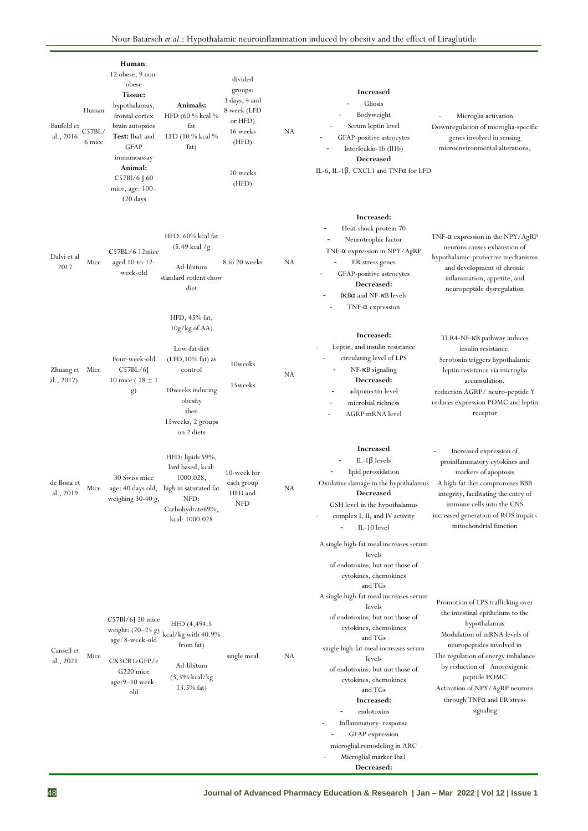| Baufeld et<br>al., 2016       | Human<br>C57BL/<br>6 mice | Human:<br>$12$ obese, $9$ non-<br>obese<br>Tissue:<br>hypothalamus,<br>frontal cortex<br>brain autopsies<br>Test: Iba1 and<br>GFAP<br>immunoassay<br>Animal:<br>C57Bl/6 [60<br>mice, age: 100-<br>120 days | Animals:<br>HFD (60 % kcal %<br>fat<br>LFD (10 % kcal %<br>fat)                                                                                                | divided<br>groups:<br>3 days, 4 and<br>8 week (LFD<br>or HFD)<br>16 weeks<br>(HFD)<br>20 weeks<br>(HFD) | NA | <b>Increased</b><br>Gliosis<br>Bodyweight<br>Serum leptin level<br>GFAP-positive astrocytes<br>Interleukin-1b (Il1b)<br><b>Decreased</b><br>IL-6, IL-1 $\beta$ , CXCL1 and TNF $\alpha$ for LFD                                                                                                                                                                                                                                                                                                                             | Microglia activation<br>Downregulation of microglia-specific<br>genes involved in sensing<br>microenvironmental alterations,                                                                                                                                                                                                 |
|-------------------------------|---------------------------|------------------------------------------------------------------------------------------------------------------------------------------------------------------------------------------------------------|----------------------------------------------------------------------------------------------------------------------------------------------------------------|---------------------------------------------------------------------------------------------------------|----|-----------------------------------------------------------------------------------------------------------------------------------------------------------------------------------------------------------------------------------------------------------------------------------------------------------------------------------------------------------------------------------------------------------------------------------------------------------------------------------------------------------------------------|------------------------------------------------------------------------------------------------------------------------------------------------------------------------------------------------------------------------------------------------------------------------------------------------------------------------------|
| Dalvi et al<br>2017           | Mice                      | C57BL/6 12mice<br>aged 10-to-12-<br>week-old                                                                                                                                                               | HFD: 60% kcal fat<br>$(5.49 \text{ kcal }$ /g<br>Ad-libitum<br>standard rodent chow<br>diet                                                                    | 8 to 20 weeks                                                                                           | NA | Increased:<br>Heat-shock protein 70<br>÷<br>Neurotrophic factor<br>TNF-α expression in NPY/AgRP<br>ER stress genes<br>GFAP-positive astrocytes<br>Decreased:<br>IKB $\alpha$ and NF-KB levels<br>$TNF-\alpha$ expression                                                                                                                                                                                                                                                                                                    | $TNF-\alpha$ expression in the $NPY/AgRP$<br>neurons causes exhaustion of<br>hypothalamic-protective mechanisms<br>and development of chronic<br>inflammation, appetite, and<br>neuropeptide dysregulation                                                                                                                   |
| Zhuang et Mice<br>al., 2017). |                           | Four-week-old<br>C57BL/6<br>10 mice ( $18 \pm 1$ )<br>g)                                                                                                                                                   | HFD, 45% fat,<br>$10g/kg$ of AA)<br>Low-fat diet<br>$(LFD, 10\%$ fat) as<br>control<br>10weeks inducing<br>obesity<br>then<br>15 weeks, 2 groups<br>on 2 diets | 10weeks<br>15weeks                                                                                      | NA | Increased:<br>Leptin, and insulin resistance<br>circulating level of LPS<br>NF-KB signaling<br>Decreased:<br>adiponectin level<br>microbial richness<br>AGRP mRNA level                                                                                                                                                                                                                                                                                                                                                     | TLR4-NF-KB pathway induces<br>insulin resistance.<br>Serotonin triggers hypothalamic<br>leptin resistance via microglia<br>accumulation.<br>reduction AGRP/ neuro-peptide Y<br>reduces expression POMC and leptin<br>receptor                                                                                                |
| de Bona et<br>al., 2019       | Mice                      | 30 Swiss mice<br>weighing 30-40 g,                                                                                                                                                                         | HFD: lipids 59%,<br>lard based, kcal:<br>1000.028,<br>age: 40 days old, high in saturated fat<br>NFD:<br>Carbohydrate69%,<br>kcal: 1000.028                    | 10-week for<br>each group<br>HFD and<br><b>NFD</b>                                                      | NA | <b>Increased</b><br>IL-1 $\beta$ levels<br>lipid peroxidation<br>Oxidative damage in the hypothalamus<br><b>Decreased</b><br>GSH level in the hypothalamus<br>complex I, II, and IV activity<br>IL-10 level                                                                                                                                                                                                                                                                                                                 | Increased expression of<br>proinflammatory cytokines and<br>markers of apoptosis<br>A high-fat diet compromises BBB<br>integrity, facilitating the entry of<br>immune cells into the CNS<br>increased generation of ROS impairs<br>mitochondrial function                                                                    |
| Cansell et<br>al., 2021       | Mice                      | $C57Bl/6J$ 20 mice<br>age: 8-week-old<br>CX3CR1eGFP/e<br>G220 mice<br>$age: 9-10 week-$<br>old                                                                                                             | HFD (4,494.5)<br>weight: $(20\text{--}25$ g) $\,\mathrm{kcal/kg}$ with $40.9\%$<br>from fat)<br>Ad-libitum<br>$(3,395 \text{ kcal/kg})$<br>$13.5\%$ fat)       | single meal                                                                                             | NA | A single high-fat meal increases serum<br>levels<br>of endotoxins, but not those of<br>cytokines, chemokines<br>and TGs<br>A single high-fat meal increases serum<br>levels<br>of endotoxins, but not those of<br>cytokines, chemokines<br>and TGs<br>single high-fat meal increases serum<br>levels<br>of endotoxins, but not those of<br>cytokines, chemokines<br>and TGs<br>Increased:<br>endotoxins<br>Inflammatory-response<br>GFAP expression<br>microglial remodeling in ARC<br>Microglial marker Iba1<br>Decreased: | Promotion of LPS trafficking over<br>the intestinal epithelium to the<br>hypothalamus<br>Modulation of mRNA levels of<br>neuropeptides involved in<br>The regulation of energy imbalance<br>by reduction of Anorexigenic<br>peptide POMC<br>Activation of NPY/AgRP neurons<br>through $TNF\alpha$ and ER stress<br>signaling |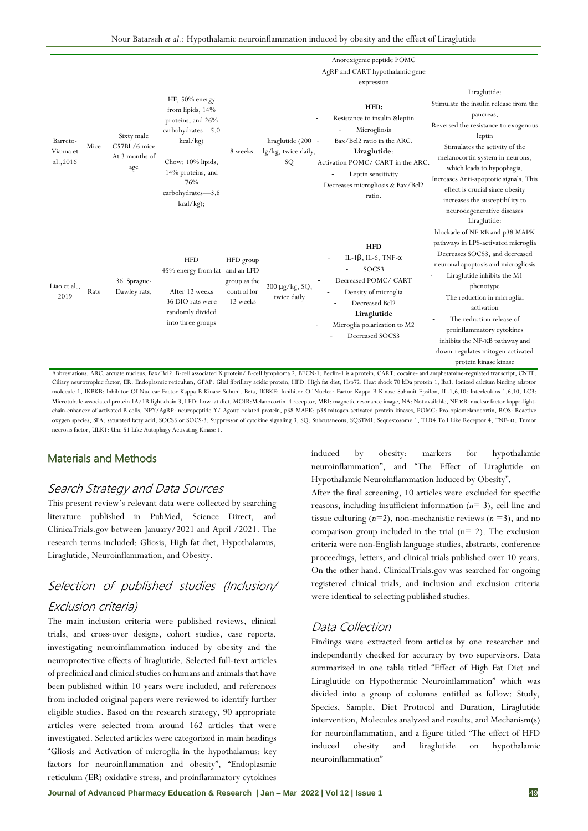|                                   |      |                                                                                                                                                                                                                         |                                                                                                                                                                             |                                                      |                                                 | Anorexigenic peptide POMC                                                                                                                                                                                                   |                                                                                                                                                                                                                                                                                                                                                                                                                 |
|-----------------------------------|------|-------------------------------------------------------------------------------------------------------------------------------------------------------------------------------------------------------------------------|-----------------------------------------------------------------------------------------------------------------------------------------------------------------------------|------------------------------------------------------|-------------------------------------------------|-----------------------------------------------------------------------------------------------------------------------------------------------------------------------------------------------------------------------------|-----------------------------------------------------------------------------------------------------------------------------------------------------------------------------------------------------------------------------------------------------------------------------------------------------------------------------------------------------------------------------------------------------------------|
|                                   |      |                                                                                                                                                                                                                         |                                                                                                                                                                             |                                                      |                                                 | AgRP and CART hypothalamic gene                                                                                                                                                                                             |                                                                                                                                                                                                                                                                                                                                                                                                                 |
| Barreto-<br>Vianna et<br>al.,2016 | Mice | Sixty male<br>C57BL/6 mice<br>At 3 months of<br>age                                                                                                                                                                     | HF, 50% energy<br>from lipids, 14%<br>proteins, and 26%<br>carbohydrates-5.0<br>kcal/kg)<br>Chow: 10% lipids,<br>14% proteins, and<br>76%<br>carbohydrates-3.8<br>kcal/kg); | 8 weeks.                                             | liraglutide (200 -<br>lg/kg, twice daily,<br>SQ | expression<br>HFD:<br>Resistance to insulin &leptin<br>Microgliosis<br>Bax/Bcl2 ratio in the ARC.<br>Liraglutide:<br>Activation POMC/ CART in the ARC.<br>Leptin sensitivity<br>Decreases microgliosis & Bax/Bcl2<br>ratio. | Liraglutide:<br>Stimulate the insulin release from the<br>pancreas,<br>Reversed the resistance to exogenous<br>leptin<br>Stimulates the activity of the<br>melanocortin system in neurons,<br>which leads to hypophagia.<br>Increases Anti-apoptotic signals. This<br>effect is crucial since obesity<br>increases the susceptibility to<br>neurodegenerative diseases                                          |
| Liao et al.,<br>2019              | Rats | 36 Sprague-<br>Dawley rats,<br>Abbreviations: ARC: arcuate nucleus, Bax/Bcl2: B-cell associated X protein/ B-cell lymphoma 2, BECN-1: Beclin-1 is a protein, CART: cocaine- and amphetamine-regulated transcript, CNTF: | <b>HFD</b><br>45% energy from fat and an LFD<br>After 12 weeks<br>36 DIO rats were<br>randomly divided<br>into three groups                                                 | HFD group<br>group as the<br>control for<br>12 weeks | $200 \mu g/kg$ , SQ,<br>twice daily             | <b>HFD</b><br>IL-1 $\beta$ , IL-6, TNF- $\alpha$<br>SOCS3<br>Decreased POMC/ CART<br>Density of microglia<br>Decreased Bcl2<br>Liraglutide<br>Microglia polarization to M2<br>Decreased SOCS3                               | Liraglutide:<br>blockade of NF-KB and p38 MAPK<br>pathways in LPS-activated microglia<br>Decreases SOCS3, and decreased<br>neuronal apoptosis and microgliosis<br>Liraglutide inhibits the M1<br>phenotype<br>The reduction in microglial<br>activation<br>The reduction release of<br>proinflammatory cytokines<br>inhibits the NF-KB pathway and<br>down-regulates mitogen-activated<br>protein kinase kinase |

Ciliary neurotrophic factor, ER: Endoplasmic reticulum, GFAP: Glial fibrillary acidic protein, HFD: High fat diet, Hsp72: Heat shock 70 kDa protein 1, Iba1: Ionized calcium binding adaptor molecule 1, IKBKB: Inhibitor Of Nuclear Factor Kappa B Kinase Subunit Beta, IKBKE: Inhibitor Of Nuclear Factor Kappa B Kinase Subunit Epsilon, IL-1,6,10: Interleukins 1,6,10, LC3: Microtubule-associated protein 1A/1B-light chain 3, LFD: Low fat diet[, MC4R:Melanocortin 4 receptor,](https://en.wikipedia.org/wiki/Melanocortin_4_receptor#:~:text=Melanocortin%204%20receptor%20is%20a,hormone%20(%CE%B1%2DMSH).) MRI: magnetic resonance image, NA: Not available, NF-κB: nuclear factor kappa-lightchain-enhancer of activated B cells, NPY/AgRP: neuropeptide Y/ Agouti-related protein, p38 MAPK: p38 mitogen-activated protein kinases, POMC: Pro-opiomelanocortin, ROS: Reactive oxygen species, SFA: saturated fatty acid, SOCS3 or SOCS-3: Suppressor of cytokine signaling 3, SQ: Subcutaneous, SQSTM1: Sequestosome 1, TLR4:Toll Like Receptor 4, TNF- α: Tumor necrosis factor, ULK1: Unc-51 Like Autophagy Activating Kinase 1.

#### Materials and Methods

#### Search Strategy and Data Sources

This present review's relevant data were collected by searching literature published in PubMed, Science Direct, and ClinicaTrials.gov between January/2021 and April /2021. The research terms included: Gliosis, High fat diet, Hypothalamus, Liraglutide, Neuroinflammation, and Obesity.

## Selection of published studies (Inclusion/ Exclusion criteria)

The main inclusion criteria were published reviews, clinical trials, and cross-over designs, cohort studies, case reports, investigating neuroinflammation induced by obesity and the neuroprotective effects of liraglutide. Selected full-text articles of preclinical and clinical studies on humans and animals that have been published within 10 years were included, and references from included original papers were reviewed to identify further eligible studies. Based on the research strategy, 90 appropriate articles were selected from around 162 articles that were investigated. Selected articles were categorized in main headings "Gliosis and Activation of microglia in the hypothalamus: key factors for neuroinflammation and obesity", "Endoplasmic reticulum (ER) oxidative stress, and proinflammatory cytokines

induced by obesity: markers for hypothalamic neuroinflammation", and "The Effect of Liraglutide on Hypothalamic Neuroinflammation Induced by Obesity".

After the final screening, 10 articles were excluded for specific reasons, including insufficient information (*n*= 3), cell line and tissue culturing  $(n=2)$ , non-mechanistic reviews  $(n=3)$ , and no comparison group included in the trial  $(n=2)$ . The exclusion criteria were non-English language studies, abstracts, conference proceedings, letters, and clinical trials published over 10 years. On the other hand, ClinicalTrials.gov was searched for ongoing registered clinical trials, and inclusion and exclusion criteria were identical to selecting published studies.

#### Data Collection

Findings were extracted from articles by one researcher and independently checked for accuracy by two supervisors. Data summarized in one table titled "Effect of High Fat Diet and Liraglutide on Hypothermic Neuroinflammation" which was divided into a group of columns entitled as follow: Study, Species, Sample, Diet Protocol and Duration, Liraglutide intervention, Molecules analyzed and results, and Mechanism(s) for neuroinflammation, and a figure titled "The effect of HFD induced obesity and liraglutide on hypothalamic neuroinflammation"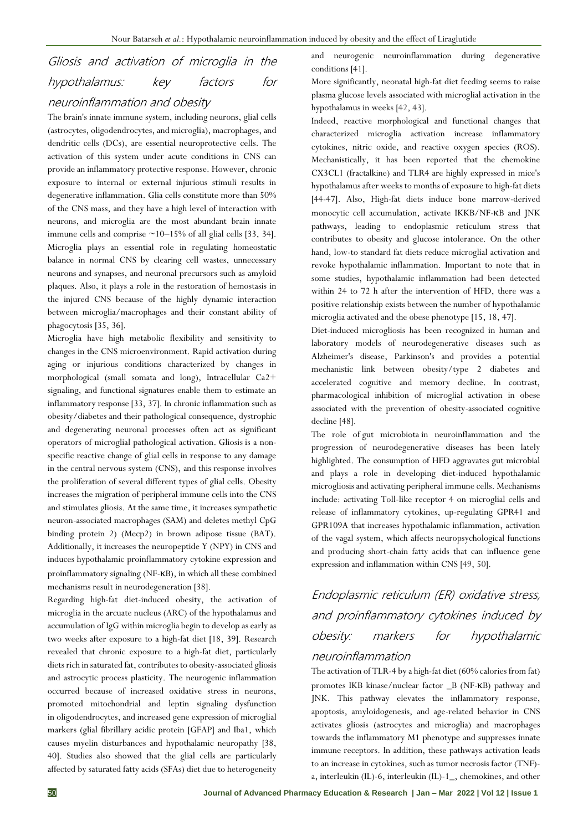## Gliosis and activation of microglia in the hypothalamus: key factors for

## neuroinflammation and obesity

The brain's innate immune system, including neurons, glial cells (astrocytes, oligodendrocytes, and microglia), macrophages, and dendritic cells (DCs), are essential neuroprotective cells. The activation of this system under acute conditions in CNS can provide an inflammatory protective response. However, chronic exposure to internal or external injurious stimuli results in degenerative inflammation. Glia cells constitute more than 50% of the CNS mass, and they have a high level of interaction with neurons, and microglia are the most abundant brain innate immune cells and comprise  $\sim$ 10–15% of all glial cells [33, 34]. Microglia plays an essential role in regulating homeostatic balance in normal CNS by clearing cell wastes, unnecessary neurons and synapses, and neuronal precursors such as amyloid plaques. Also, it plays a role in the restoration of hemostasis in the injured CNS because of the highly dynamic interaction between microglia/macrophages and their constant ability of phagocytosis [35, 36].

Microglia have high metabolic flexibility and sensitivity to changes in the CNS microenvironment. Rapid activation during aging or injurious conditions characterized by changes in morphological (small somata and long), Intracellular Ca2+ signaling, and functional signatures enable them to estimate an inflammatory response [33, 37]. In chronic inflammation such as obesity/diabetes and their pathological consequence, dystrophic and degenerating neuronal processes often act as significant operators of microglial pathological activation. Gliosis is a nonspecific reactive change of glial cells in response to any damage in the central nervous system (CNS), and this response involves the proliferation of several different types of glial cells. Obesity increases the migration of peripheral immune cells into the CNS and stimulates gliosis. At the same time, it increases sympathetic neuron-associated macrophages (SAM) and deletes methyl CpG binding protein 2) (Mecp2) in brown adipose tissue (BAT). Additionally, it increases the neuropeptide Y (NPY) in CNS and induces hypothalamic proinflammatory cytokine expression and proinflammatory signaling (NF-κB), in which all these combined mechanisms result in neurodegeneration [38].

Regarding high-fat diet-induced obesity, the activation of microglia in the arcuate nucleus (ARC) of the hypothalamus and accumulation of IgG within microglia begin to develop as early as two weeks after exposure to a high-fat diet [18, 39]. Research revealed that chronic exposure to a high-fat diet, particularly diets rich in saturated fat, contributes to obesity-associated gliosis and astrocytic process plasticity. The neurogenic inflammation occurred because of increased oxidative stress in neurons, promoted mitochondrial and leptin signaling dysfunction in oligodendrocytes, and increased gene expression of microglial markers (glial fibrillary acidic protein [GFAP] and Iba1, which causes myelin disturbances and hypothalamic neuropathy [38, 40]. Studies also showed that the glial cells are particularly affected by saturated fatty acids (SFAs) diet due to heterogeneity

and neurogenic neuroinflammation during degenerative conditions [41].

More significantly, neonatal high-fat diet feeding seems to raise plasma glucose levels associated with microglial activation in the hypothalamus in weeks [42, 43].

Indeed, reactive morphological and functional changes that characterized microglia activation increase inflammatory cytokines, nitric oxide, and reactive oxygen species (ROS). Mechanistically, it has been reported that the chemokine CX3CL1 (fractalkine) and TLR4 are highly expressed in mice's hypothalamus after weeks to months of exposure to high-fat diets [44-47]. Also, High-fat diets induce bone marrow-derived monocytic cell accumulation, activate IKKB/NF-κB and JNK pathways, leading to endoplasmic reticulum stress that contributes to obesity and glucose intolerance. On the other hand, low-to standard fat diets reduce microglial activation and revoke hypothalamic inflammation. Important to note that in some studies, hypothalamic inflammation had been detected within 24 to 72 h after the intervention of HFD, there was a positive relationship exists between the number of hypothalamic microglia activated and the obese phenotype [15, 18, 47].

Diet-induced microgliosis has been recognized in human and laboratory models of neurodegenerative diseases such as Alzheimer's disease, Parkinson's and provides a potential mechanistic link between obesity/type 2 diabetes and accelerated cognitive and memory decline. In contrast, pharmacological inhibition of microglial activation in obese associated with the prevention of obesity-associated cognitive decline [48].

The role of gut microbiota in neuroinflammation and the progression of neurodegenerative diseases has been lately highlighted. The consumption of HFD aggravates gut microbial and plays a role in developing diet-induced hypothalamic microgliosis and activating peripheral immune cells. Mechanisms include: activating Toll-like receptor 4 on microglial cells and release of inflammatory cytokines, up-regulating GPR41 and GPR109A that increases hypothalamic inflammation, activation of the vagal system, which affects neuropsychological functions and producing short-chain fatty acids that can influence gene expression and inflammation within CNS [49, 50].

## Endoplasmic reticulum (ER) oxidative stress, and proinflammatory cytokines induced by obesity: markers for hypothalamic

### neuroinflammation

The activation of TLR-4 by a high-fat diet (60% calories from fat) promotes IKB kinase/nuclear factor \_B (NF-κB) pathway and JNK. This pathway elevates the inflammatory response, apoptosis, amyloidogenesis, and age-related behavior in CNS activates gliosis (astrocytes and microglia) and macrophages towards the inflammatory M1 phenotype and suppresses innate immune receptors. In addition, these pathways activation leads to an increase in cytokines, such as tumor necrosis factor (TNF) a, interleukin (IL)-6, interleukin (IL)-1\_, chemokines, and other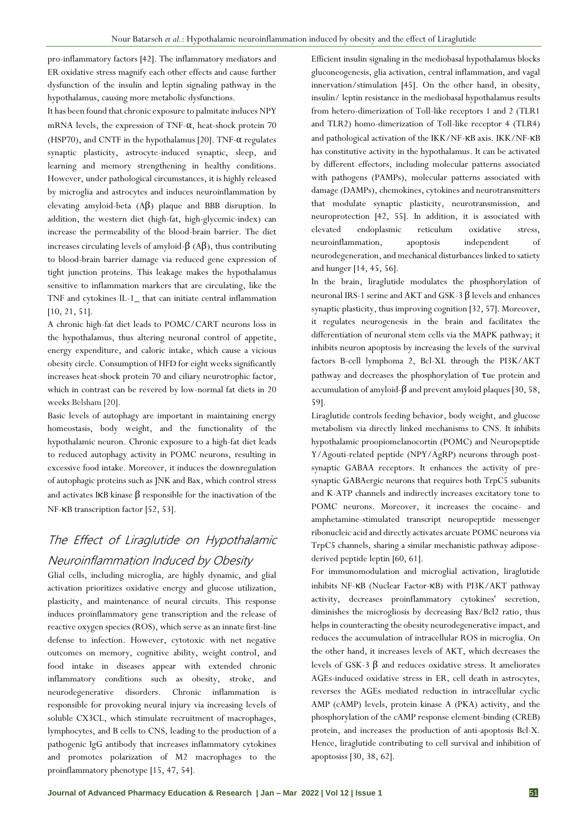pro-inflammatory factors [42]. The inflammatory mediators and ER oxidative stress magnify each other effects and cause further dysfunction of the insulin and leptin signaling pathway in the hypothalamus, causing more metabolic dysfunctions.

It has been found that chronic exposure to palmitate induces NPY mRNA levels, the expression of TNF- $\alpha$ , heat-shock protein 70 (HSP70), and CNTF in the hypothalamus [20]. TNF-α regulates synaptic plasticity, astrocyte-induced synaptic, sleep, and learning and memory strengthening in healthy conditions. However, under pathological circumstances, it is highly released by microglia and astrocytes and induces neuroinflammation by elevating amyloid-beta (Aβ) plaque and BBB disruption. In addition, the western diet (high-fat, high-glycemic-index) can increase the permeability of the blood-brain barrier. The diet increases circulating levels of amyloid-β (Aβ), thus contributing to blood-brain barrier damage via reduced gene expression of tight junction proteins. This leakage makes the hypothalamus sensitive to inflammation markers that are circulating, like the TNF and cytokines IL-1\_ that can initiate central inflammation [10, 21, 51].

A chronic high-fat diet leads to POMC/CART neurons loss in the hypothalamus, thus altering neuronal control of appetite, energy expenditure, and caloric intake, which cause a vicious obesity circle. Consumption of HFD for eight weeks significantly increases heat-shock protein 70 and ciliary neurotrophic factor, which in contrast can be revered by low-normal fat diets in 20 weeks Belsham [20].

Basic levels of autophagy are important in maintaining energy homeostasis, body weight, and the functionality of the hypothalamic neuron. Chronic exposure to a high-fat diet leads to reduced autophagy activity in POMC neurons, resulting in excessive food intake. Moreover, it induces the downregulation of autophagic proteins such as JNK and Bax, which control stress and activates IKB kinase  $\beta$  responsible for the inactivation of the NF-κB transcription factor [52, 53].

## The Effect of Liraglutide on Hypothalamic Neuroinflammation Induced by Obesity

Glial cells, including microglia, are highly dynamic, and glial activation prioritizes oxidative energy and glucose utilization, plasticity, and maintenance of neural circuits. This response induces proinflammatory gene transcription and the release of reactive oxygen species (ROS), which serve as an innate first-line defense to infection. However, cytotoxic with net negative outcomes on memory, cognitive ability, weight control, and food intake in diseases appear with extended chronic inflammatory conditions such as obesity, stroke, and neurodegenerative disorders. Chronic inflammation is responsible for provoking neural injury via increasing levels of soluble CX3CL, which stimulate recruitment of macrophages, lymphocytes, and B cells to CNS, leading to the production of a pathogenic IgG antibody that increases inflammatory cytokines and promotes polarization of M2 macrophages to the proinflammatory phenotype [15, 47, 54].

Efficient insulin signaling in the mediobasal hypothalamus blocks gluconeogenesis, glia activation, central inflammation, and vagal innervation/stimulation [45]. On the other hand, in obesity, insulin/ leptin resistance in the mediobasal hypothalamus results from hetero-dimerization of Toll-like receptors 1 and 2 (TLR1 and TLR2) homo-dimerization of Toll-like receptor 4 (TLR4) and pathological activation of the IKK/NF-κB axis. IKK/NF-κB has constitutive activity in the hypothalamus. It can be activated by different effectors, including molecular patterns associated with pathogens (PAMPs), molecular patterns associated with damage (DAMPs), chemokines, cytokines and neurotransmitters that modulate synaptic plasticity, neurotransmission, and neuroprotection [42, 55]. In addition, it is associated with elevated endoplasmic reticulum oxidative stress, neuroinflammation, apoptosis independent of neurodegeneration, and mechanical disturbances linked to satiety and hunger [14, 45, 56].

In the brain, liraglutide modulates the phosphorylation of neuronal IRS-1 serine and AKT and GSK-3 β levels and enhances synaptic plasticity, thus improving cognition [32, 57]. Moreover, it regulates neurogenesis in the brain and facilitates the differentiation of neuronal stem cells via the MAPK pathway; it inhibits neuron apoptosis by increasing the levels of the survival factors B-cell lymphoma 2, Bcl-XL through the PI3K/AKT pathway and decreases the phosphorylation of τue protein and accumulation of amyloid-β and prevent amyloid plaques [30, 58, 59].

Liraglutide controls feeding behavior, body weight, and glucose metabolism via directly linked mechanisms to CNS. It inhibits hypothalamic proopiomelanocortin (POMC) and Neuropeptide Y/Agouti-related peptide (NPY/AgRP) neurons through postsynaptic GABAA receptors. It enhances the activity of presynaptic GABAergic neurons that requires both TrpC5 subunits and K-ATP channels and indirectly increases excitatory tone to POMC neurons. Moreover, it increases the cocaine- and amphetamine-stimulated transcript neuropeptide messenger ribonucleic acid and directly activates arcuate POMC neurons via TrpC5 channels, sharing a similar mechanistic pathway adiposederived peptide leptin [60, 61].

For immunomodulation and microglial activation, liraglutide inhibits NF-κB (Nuclear Factor-κB) with PI3K/AKT pathway activity, decreases proinflammatory cytokines' secretion, diminishes the microgliosis by decreasing Bax/Bcl2 ratio, thus helps in counteracting the obesity neurodegenerative impact, and reduces the accumulation of intracellular ROS in microglia. On the other hand, it increases levels of AKT, which decreases the levels of GSK-3 β and reduces oxidative stress. It ameliorates AGEs-induced oxidative stress in ER, cell death in astrocytes, reverses the AGEs mediated reduction in intracellular cyclic AMP (cAMP) levels, protein kinase A (PKA) activity, and the phosphorylation of the cAMP response element-binding (CREB) protein, and increases the production of anti-apoptosis Bcl-X. Hence, liraglutide contributing to cell survival and inhibition of apoptosiss [30, 38, 62].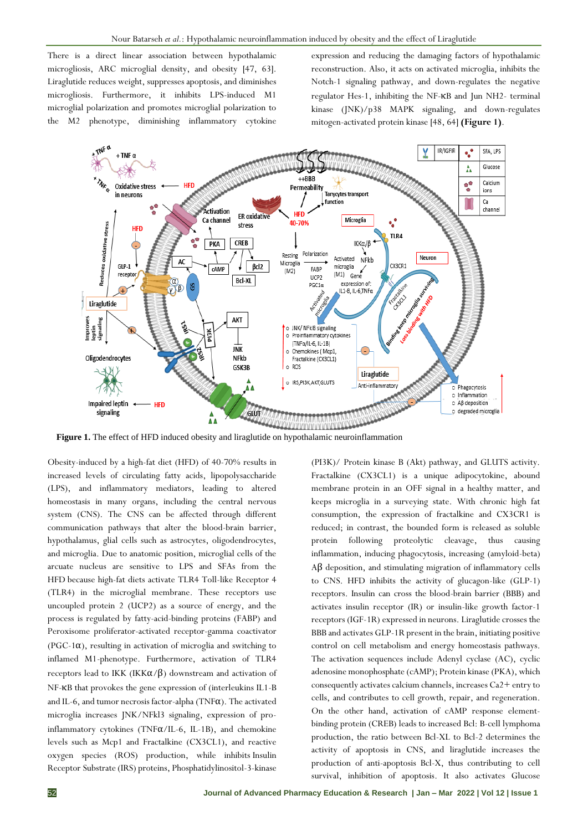There is a direct linear association between hypothalamic microgliosis, ARC microglial density, and obesity [47, 63]. Liraglutide reduces weight, suppresses apoptosis, and diminishes microgliosis. Furthermore, it inhibits LPS-induced M1 microglial polarization and promotes microglial polarization to the M2 phenotype, diminishing inflammatory cytokine

expression and reducing the damaging factors of hypothalamic reconstruction. Also, it acts on activated microglia, inhibits the Notch-1 signaling pathway, and down-regulates the negative regulator Hes-1, inhibiting the NF-κB and Jun NH2- terminal kinase (JNK)/p38 MAPK signaling, and down-regulates mitogen-activated protein kinase [48, 64] **(Figure 1)**.



**Figure 1.** The effect of HFD induced obesity and liraglutide on hypothalamic neuroinflammation

Obesity-induced by a high-fat diet (HFD) of 40-70% results in increased levels of circulating fatty acids, lipopolysaccharide (LPS), and inflammatory mediators, leading to altered homeostasis in many organs, including the central nervous system (CNS). The CNS can be affected through different communication pathways that alter the blood-brain barrier, hypothalamus, glial cells such as astrocytes, oligodendrocytes, and microglia. Due to anatomic position, microglial cells of the arcuate nucleus are sensitive to LPS and SFAs from the HFD because high-fat diets activate TLR4 Toll-like Receptor 4 (TLR4) in the microglial membrane. These receptors use uncoupled protein 2 (UCP2) as a source of energy, and the process is regulated by fatty-acid-binding proteins (FABP) and Peroxisome proliferator-activated receptor-gamma coactivator ( $PGC-1\alpha$ ), resulting in activation of microglia and switching to inflamed M1-phenotype. Furthermore, activation of TLR4 receptors lead to IKK (IKK $\alpha/\beta$ ) downstream and activation of NF-κB that provokes the gene expression of (interleukins IL1-B and IL-6, and tumor necrosis factor-alpha (TNFα). The activated microglia increases JNK/NFkl3 signaling, expression of proinflammatory cytokines (TNF $\alpha$ /IL-6, IL-1B), and chemokine levels such as Mcp1 and Fractalkine (CX3CL1), and reactive oxygen species (ROS) production, while inhibits Insulin Receptor Substrate (IRS) proteins, Phosphatidylinositol-3-kinase

(PI3K)/ Protein kinase B (Akt) pathway, and GLUTS activity. Fractalkine (CX3CL1) is a unique adipocytokine, abound membrane protein in an OFF signal in a healthy matter, and keeps microglia in a surveying state. With chronic high fat consumption, the expression of fractalkine and CX3CR1 is reduced; in contrast, the bounded form is released as soluble protein following proteolytic cleavage, thus causing inflammation, inducing phagocytosis, increasing (amyloid-beta) Aβ deposition, and stimulating migration of inflammatory cells to CNS. HFD inhibits the activity of glucagon-like (GLP-1) receptors. Insulin can cross the blood-brain barrier (BBB) and activates insulin receptor (IR) or insulin-like growth factor-1 receptors (IGF-1R) expressed in neurons. Liraglutide crosses the BBB and activates GLP-1R present in the brain, initiating positive control on cell metabolism and energy homeostasis pathways. The activation sequences include Adenyl cyclase (AC), cyclic adenosine monophosphate (cAMP); Protein kinase (PKA), which consequently activates calcium channels, increases Ca2+ entry to cells, and contributes to cell growth, repair, and regeneration. On the other hand, activation of cAMP response elementbinding protein (CREB) leads to increased Bcl: B-cell lymphoma production, the ratio between Bcl-XL to Bcl-2 determines the activity of apoptosis in CNS, and liraglutide increases the production of anti-apoptosis Bcl-X, thus contributing to cell survival, inhibition of apoptosis. It also activates Glucose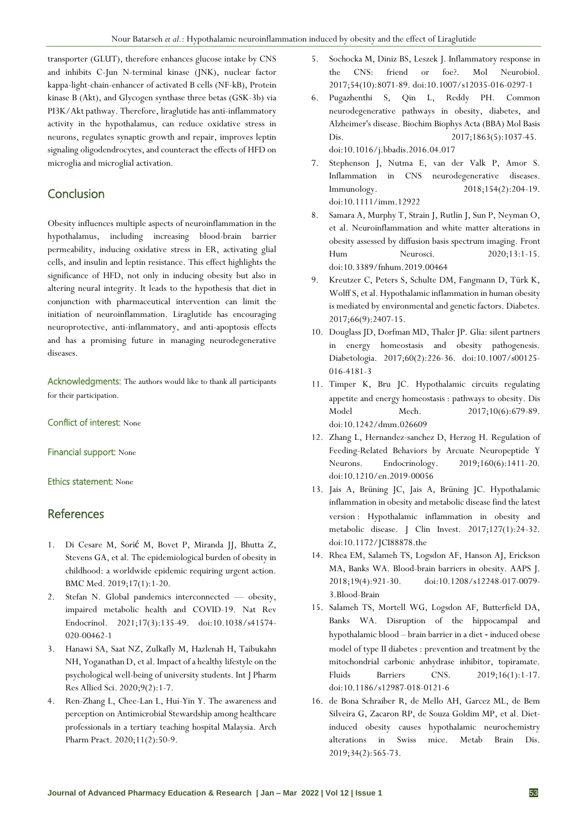transporter (GLUT), therefore enhances glucose intake by CNS and inhibits C-Jun N-terminal kinase (JNK), nuclear factor kappa-light-chain-enhancer of activated B cells (NF-kB), Protein kinase B (Akt), and Glycogen synthase three betas (GSK-3b) via PI3K/Akt pathway. Therefore, liraglutide has anti-inflammatory activity in the hypothalamus, can reduce oxidative stress in neurons, regulates synaptic growth and repair, improves leptin signaling oligodendrocytes, and counteract the effects of HFD on microglia and microglial activation.

## Conclusion

Obesity influences multiple aspects of neuroinflammation in the hypothalamus, including increasing blood-brain barrier permeability, inducing oxidative stress in ER, activating glial cells, and insulin and leptin resistance. This effect highlights the significance of HFD, not only in inducing obesity but also in altering neural integrity. It leads to the hypothesis that diet in conjunction with pharmaceutical intervention can limit the initiation of neuroinflammation. Liraglutide has encouraging neuroprotective, anti-inflammatory, and anti-apoptosis effects and has a promising future in managing neurodegenerative diseases.

Acknowledgments: The authors would like to thank all participants for their participation.

#### Conflict of interest: None

#### Financial support: None

#### Ethics statement: None

## **References**

- 1. Di Cesare M, Sorić M, Bovet P, Miranda JJ, Bhutta Z, Stevens GA, et al. The epidemiological burden of obesity in childhood: a worldwide epidemic requiring urgent action. BMC Med. 2019;17(1):1-20.
- 2. Stefan N. Global pandemics interconnected obesity, impaired metabolic health and COVID-19. Nat Rev Endocrinol. 2021;17(3):135-49. doi:10.1038/s41574- 020-00462-1
- 3. Hanawi SA, Saat NZ, Zulkafly M, Hazlenah H, Taibukahn NH, Yoganathan D, et al. Impact of a healthy lifestyle on the psychological well-being of university students. Int J Pharm Res Allied Sci. 2020;9(2):1-7.
- 4. Ren-Zhang L, Chee-Lan L, Hui-Yin Y. The awareness and perception on Antimicrobial Stewardship among healthcare professionals in a tertiary teaching hospital Malaysia. Arch Pharm Pract. 2020;11(2):50-9.
- 5. Sochocka M, Diniz BS, Leszek J. Inflammatory response in the CNS: friend or foe?. Mol Neurobiol. 2017;54(10):8071-89. doi:10.1007/s12035-016-0297-1
- 6. Pugazhenthi S, Qin L, Reddy PH. Common neurodegenerative pathways in obesity, diabetes, and Alzheimer's disease. Biochim Biophys Acta (BBA) Mol Basis Dis. 2017;1863(5):1037-45. doi:10.1016/j.bbadis.2016.04.017
- 7. Stephenson J, Nutma E, van der Valk P, Amor S. Inflammation in CNS neurodegenerative diseases. Immunology. 2018;154(2):204-19. doi:10.1111/imm.12922
- 8. Samara A, Murphy T, Strain J, Rutlin J, Sun P, Neyman O, et al. Neuroinflammation and white matter alterations in obesity assessed by diffusion basis spectrum imaging. Front Hum Neurosci. 2020;13:1-15. doi:10.3389/fnhum.2019.00464
- 9. Kreutzer C, Peters S, Schulte DM, Fangmann D, Türk K, Wolff S, et al. Hypothalamic inflammation in human obesity is mediated by environmental and genetic factors. Diabetes. 2017;66(9):2407-15.
- 10. Douglass JD, Dorfman MD, Thaler JP. Glia: silent partners in energy homeostasis and obesity pathogenesis. Diabetologia. 2017;60(2):226-36. doi:10.1007/s00125- 016-4181-3
- 11. Timper K, Bru JC. Hypothalamic circuits regulating appetite and energy homeostasis : pathways to obesity. Dis Model Mech. 2017;10(6):679-89. doi:10.1242/dmm.026609
- 12. Zhang L, Hernandez-sanchez D, Herzog H. Regulation of Feeding-Related Behaviors by Arcuate Neuropeptide Y Neurons. Endocrinology. 2019;160(6):1411-20. doi:10.1210/en.2019-00056
- 13. Jais A, Brüning JC, Jais A, Brüning JC. Hypothalamic inflammation in obesity and metabolic disease find the latest version : Hypothalamic inflammation in obesity and metabolic disease. J Clin Invest. 2017;127(1):24-32. doi:10.1172/JCI88878.the
- 14. Rhea EM, Salameh TS, Logsdon AF, Hanson AJ, Erickson MA, Banks WA. Blood-brain barriers in obesity. AAPS J. 2018;19(4):921-30. doi:10.1208/s12248-017-0079- 3.Blood-Brain
- 15. Salameh TS, Mortell WG, Logsdon AF, Butterfield DA, Banks WA. Disruption of the hippocampal and hypothalamic blood – brain barrier in a diet ‑ induced obese model of type II diabetes : prevention and treatment by the mitochondrial carbonic anhydrase inhibitor, topiramate. Fluids Barriers CNS. 2019;16(1):1-17. doi:10.1186/s12987-018-0121-6
- 16. de Bona Schraiber R, de Mello AH, Garcez ML, de Bem Silveira G, Zacaron RP, de Souza Goldim MP, et al. Dietinduced obesity causes hypothalamic neurochemistry alterations in Swiss mice. Metab Brain Dis. 2019;34(2):565-73.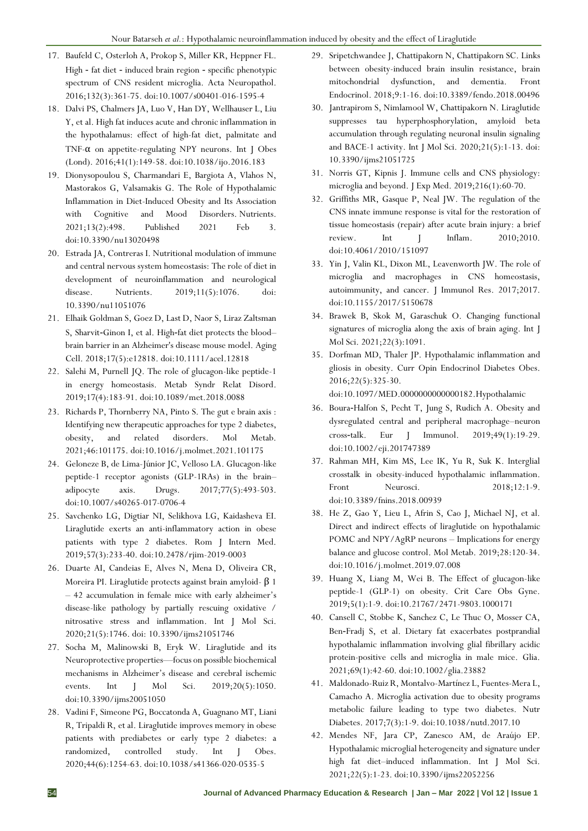- 17. Baufeld C, Osterloh A, Prokop S, Miller KR, Heppner FL. High ‑ fat diet ‑ induced brain region ‑ specific phenotypic spectrum of CNS resident microglia. Acta Neuropathol. 2016;132(3):361-75. doi:10.1007/s00401-016-1595-4
- 18. Dalvi PS, Chalmers JA, Luo V, Han DY, Wellhauser L, Liu Y, et al. High fat induces acute and chronic inflammation in the hypothalamus: effect of high-fat diet, palmitate and TNF- $\alpha$  on appetite-regulating NPY neurons. Int J Obes (Lond). 2016;41(1):149-58. doi:10.1038/ijo.2016.183
- 19. Dionysopoulou S, Charmandari E, Bargiota A, Vlahos N, Mastorakos G, Valsamakis G. The Role of Hypothalamic Inflammation in Diet-Induced Obesity and Its Association with Cognitive and Mood Disorders. Nutrients. 2021;13(2):498. Published 2021 Feb 3. doi:10.3390/nu13020498
- 20. Estrada JA, Contreras I. Nutritional modulation of immune and central nervous system homeostasis: The role of diet in development of neuroinflammation and neurological disease. Nutrients. 2019;11(5):1076. doi: 10.3390/nu11051076
- 21. Elhaik Goldman S, Goez D, Last D, Naor S, Liraz Zaltsman S, Sharvit-Ginon I, et al. High-fat diet protects the bloodbrain barrier in an Alzheimer's disease mouse model. Aging Cell. 2018;17(5):e12818. doi:10.1111/acel.12818
- 22. Salehi M, Purnell JQ. The role of glucagon-like peptide-1 in energy homeostasis. Metab Syndr Relat Disord. 2019;17(4):183-91. doi:10.1089/met.2018.0088
- 23. Richards P, Thornberry NA, Pinto S. The gut e brain axis : Identifying new therapeutic approaches for type 2 diabetes, obesity, and related disorders. Mol Metab. 2021;46:101175. doi:10.1016/j.molmet.2021.101175
- 24. Geloneze B, de Lima-Júnior JC, Velloso LA. Glucagon-like peptide-1 receptor agonists (GLP-1RAs) in the brain– adipocyte axis. Drugs. 2017;77(5):493-503. doi:10.1007/s40265-017-0706-4
- 25. Savchenko LG, Digtiar NI, Selikhova LG, Kaidasheva EI. Liraglutide exerts an anti-inflammatory action in obese patients with type 2 diabetes. Rom J Intern Med. 2019;57(3):233-40. doi:10.2478/rjim-2019-0003
- 26. Duarte AI, Candeias E, Alves N, Mena D, Oliveira CR, Moreira PI. Liraglutide protects against brain amyloid- β 1 – 42 accumulation in female mice with early alzheimer's disease-like pathology by partially rescuing oxidative / nitrosative stress and inflammation. Int J Mol Sci. 2020;21(5):1746. doi: 10.3390/ijms21051746
- 27. Socha M, Malinowski B, Eryk W. Liraglutide and its Neuroprotective properties—focus on possible biochemical mechanisms in Alzheimer's disease and cerebral ischemic events. Int J Mol Sci. 2019;20(5):1050. doi:10.3390/ijms20051050
- 28. Vadini F, Simeone PG, Boccatonda A, Guagnano MT, Liani R, Tripaldi R, et al. Liraglutide improves memory in obese patients with prediabetes or early type 2 diabetes: a randomized, controlled study. Int J Obes. 2020;44(6):1254-63. doi:10.1038/s41366-020-0535-5
- 29. Sripetchwandee J, Chattipakorn N, Chattipakorn SC. Links between obesity-induced brain insulin resistance, brain mitochondrial dysfunction, and dementia. Front Endocrinol. 2018;9:1-16. doi:10.3389/fendo.2018.00496
- 30. Jantrapirom S, Nimlamool W, Chattipakorn N. Liraglutide suppresses tau hyperphosphorylation, amyloid beta accumulation through regulating neuronal insulin signaling and BACE-1 activity. Int J Mol Sci. 2020;21(5):1-13. doi: 10.3390/ijms21051725
- 31. Norris GT, Kipnis J. Immune cells and CNS physiology: microglia and beyond. J Exp Med. 2019;216(1):60-70.
- 32. Griffiths MR, Gasque P, Neal JW. The regulation of the CNS innate immune response is vital for the restoration of tissue homeostasis (repair) after acute brain injury: a brief review. Int I Inflam. 2010:2010. doi:10.4061/2010/151097
- 33. Yin J, Valin KL, Dixon ML, Leavenworth JW. The role of microglia and macrophages in CNS homeostasis, autoimmunity, and cancer. J Immunol Res. 2017;2017. doi:10.1155/2017/5150678
- 34. Brawek B, Skok M, Garaschuk O. Changing functional signatures of microglia along the axis of brain aging. Int J Mol Sci. 2021;22(3):1091.
- 35. Dorfman MD, Thaler JP. Hypothalamic inflammation and gliosis in obesity. Curr Opin Endocrinol Diabetes Obes. 2016;22(5):325-30.

doi:10.1097/MED.0000000000000182.Hypothalamic

- 36. Boura‐Halfon S, Pecht T, Jung S, Rudich A. Obesity and dysregulated central and peripheral macrophage–neuron cross‐talk. Eur J Immunol. 2019;49(1):19-29. doi:10.1002/eji.201747389
- 37. Rahman MH, Kim MS, Lee IK, Yu R, Suk K. Interglial crosstalk in obesity-induced hypothalamic inflammation. Front Neurosci. 2018;12:1-9. doi:10.3389/fnins.2018.00939
- 38. He Z, Gao Y, Lieu L, Afrin S, Cao J, Michael NJ, et al. Direct and indirect effects of liraglutide on hypothalamic POMC and NPY/AgRP neurons – Implications for energy balance and glucose control. Mol Metab. 2019;28:120-34. doi:10.1016/j.molmet.2019.07.008
- 39. Huang X, Liang M, Wei B. The Effect of glucagon-like peptide-1 (GLP-1) on obesity. Crit Care Obs Gyne. 2019;5(1):1-9. doi:10.21767/2471-9803.1000171
- 40. Cansell C, Stobbe K, Sanchez C, Le Thuc O, Mosser CA, Ben‐Fradj S, et al. Dietary fat exacerbates postprandial hypothalamic inflammation involving glial fibrillary acidic protein-positive cells and microglia in male mice. Glia. 2021;69(1):42-60. doi:10.1002/glia.23882
- 41. Maldonado-Ruiz R, Montalvo-Martínez L, Fuentes-Mera L, Camacho A. Microglia activation due to obesity programs metabolic failure leading to type two diabetes. Nutr Diabetes. 2017;7(3):1-9. doi:10.1038/nutd.2017.10
- 42. Mendes NF, Jara CP, Zanesco AM, de Araújo EP. Hypothalamic microglial heterogeneity and signature under high fat diet–induced inflammation. Int J Mol Sci. 2021;22(5):1-23. doi:10.3390/ijms22052256